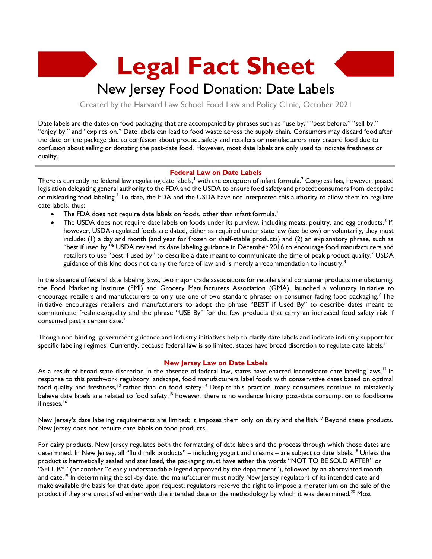**Legal Fact Sheet**

## New Jersey Food Donation: Date Labels

Created by the Harvard Law School Food Law and Policy Clinic, October 2021

Date labels are the dates on food packaging that are accompanied by phrases such as "use by," "best before," "sell by," "enjoy by," and "expires on." Date labels can lead to food waste across the supply chain. Consumers may discard food after the date on the package due to confusion about product safety and retailers or manufacturers may discard food due to confusion about selling or donating the past-date food. However, most date labels are only used to indicate freshness or quality.

## **Federal Law on Date Labels**

There is currently no federal law regulating date labels, $^!$  with the exception of infant formula. $^2$  Congress has, however, passed legislation delegating general authority to the FDA and the USDA to ensure food safety and protect consumers from deceptive or misleading food labeling.<sup>3</sup> To date, the FDA and the USDA have not interpreted this authority to allow them to regulate date labels, thus:

- The FDA does not require date labels on foods, other than infant formula.<sup>4</sup>
- The USDA does not require date labels on foods under its purview, including meats, poultry, and egg products.<sup>5</sup> If, however, USDA-regulated foods are dated, either as required under state law (see below) or voluntarily, they must include: (1) a day and month (and year for frozen or shelf-stable products) and (2) an explanatory phrase, such as "best if used by."<sup>6</sup> USDA revised its date labeling guidance in December 2016 to encourage food manufacturers and retailers to use "best if used by" to describe a date meant to communicate the time of peak product quality.<sup>7</sup> USDA guidance of this kind does not carry the force of law and is merely a recommendation to industry. $^8$

In the absence of federal date labeling laws, two major trade associations for retailers and consumer products manufacturing, the Food Marketing Institute (FMI) and Grocery Manufacturers Association (GMA), launched a voluntary initiative to encourage retailers and manufacturers to only use one of two standard phrases on consumer facing food packaging.<sup>9</sup> The initiative encourages retailers and manufacturers to adopt the phrase "BEST if Used By" to describe dates meant to communicate freshness/quality and the phrase "USE By" for the few products that carry an increased food safety risk if consumed past a certain date.<sup>10</sup>

Though non-binding, government guidance and industry initiatives help to clarify date labels and indicate industry support for specific labeling regimes. Currently, because federal law is so limited, states have broad discretion to regulate date labels.<sup>11</sup>

## **New Jersey Law on Date Labels**

As a result of broad state discretion in the absence of federal law, states have enacted inconsistent date labeling laws.<sup>12</sup> In response to this patchwork regulatory landscape, food manufacturers label foods with conservative dates based on optimal food quality and freshness,<sup>13</sup> rather than on food safety.<sup>14</sup> Despite this practice, many consumers continue to mistakenly believe date labels are related to food safety;<sup>15</sup> however, there is no evidence linking post-date consumption to foodborne illnesses. 16

New Jersey's date labeling requirements are limited; it imposes them only on dairy and shellfish.<sup>17</sup> Beyond these products, New Jersey does not require date labels on food products.

For dairy products, New Jersey regulates both the formatting of date labels and the process through which those dates are determined. In New Jersey, all "fluid milk products" – including yogurt and creams – are subject to date labels.<sup>18</sup> Unless the product is hermetically sealed and sterilized, the packaging must have either the words "NOT TO BE SOLD AFTER" or "SELL BY" (or another "clearly understandable legend approved by the department"), followed by an abbreviated month and date.<sup>19</sup> In determining the sell-by date, the manufacturer must notify New Jersey regulators of its intended date and make available the basis for that date upon request; regulators reserve the right to impose a moratorium on the sale of the product if they are unsatisfied either with the intended date or the methodology by which it was determined.<sup>20</sup> Most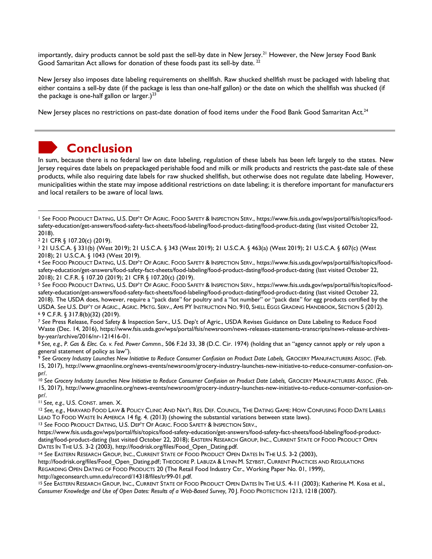importantly, dairy products cannot be sold past the sell-by date in New Jersey.<sup>21</sup> However, the New Jersey Food Bank Good Samaritan Act allows for donation of these foods past its sell-by date.<sup>22</sup>

New Jersey also imposes date labeling requirements on shellfish. Raw shucked shellfish must be packaged with labeling that either contains a sell-by date (if the package is less than one-half gallon) or the date on which the shellfish was shucked (if the package is one-half gallon or larger.)<sup>23</sup>

New Jersey places no restrictions on past-date donation of food items under the Food Bank Good Samaritan Act.<sup>24</sup>



## **Conclusion**

In sum, because there is no federal law on date labeling, regulation of these labels has been left largely to the states. New Jersey requires date labels on prepackaged perishable food and milk or milk products and restricts the past-date sale of these products, while also requiring date labels for raw shucked shellfish, but otherwise does not regulate date labeling. However, municipalities within the state may impose additional restrictions on date labeling; it is therefore important for manufacturers and local retailers to be aware of local laws.

<sup>4</sup> *See* FOOD PRODUCT DATING, U.S. DEP'T OF AGRIC. FOOD SAFETY & INSPECTION SERV., https://www.fsis.usda.gov/wps/portal/fsis/topics/foodsafety-education/get-answers/food-safety-fact-sheets/food-labeling/food-product-dating/food-product-dating (last visited October 22, 2018); 21 C.F.R. § 107.20 (2019); 21 CFR § 107.20(c) (2019).

<sup>5</sup> *See* FOOD PRODUCT DATING, U.S. DEP'T OF AGRIC. FOOD SAFETY & INSPECTION SERV., https://www.fsis.usda.gov/wps/portal/fsis/topics/foodsafety-education/get-answers/food-safety-fact-sheets/food-labeling/food-product-dating/food-product-dating (last visited October 22, 2018). The USDA does, however, require a "pack date" for poultry and a "lot number" or "pack date" for egg products certified by the USDA. *See* U.S. DEP'T OF AGRIC., AGRIC. MKTG. SERV., AMS PY INSTRUCTION NO. 910, SHELL EGGS GRADING HANDBOOK, SECTION 5 (2012). <sup>6</sup> 9 C.F.R. § 317.8(b)(32) (2019).

<sup>7</sup> *See* Press Release, Food Safety & Inspection Serv., U.S. Dep't of Agric., USDA Revises Guidance on Date Labeling to Reduce Food Waste (Dec. 14, 2016), https://www.fsis.usda.gov/wps/portal/fsis/newsroom/news-releases-statements-transcripts/news-release-archivesby-year/archive/2016/nr-121416-01.

<sup>8</sup> *See, e.g.*, *P. Gas & Elec. Co. v. Fed. Power Commn.*, 506 F.2d 33, 38 (D.C. Cir. 1974) (holding that an "agency cannot apply or rely upon a general statement of policy as law").

<sup>9</sup> See Grocery Industry Launches New Initiative to Reduce Consumer Confusion on Product Date Labels, GROCERY MANUFACTURERS AssOC. (Feb. 15, 2017), http://www.gmaonline.org/news-events/newsroom/grocery-industry-launches-new-initiative-to-reduce-consumer-confusion-onpr/.

<sup>10</sup> See Grocery Industry Launches New Initiative to Reduce Consumer Confusion on Product Date Labels, GROCERY MANUFACTURERS ASSOC. (Feb. 15, 2017), http://www.gmaonline.org/news-events/newsroom/grocery-industry-launches-new-initiative-to-reduce-consumer-confusion-onpr/.

<sup>11</sup> *See, e.g.*, U.S. CONST. amen. X.

<sup>12</sup> *See, e.g.*, HARVARD FOOD LAW & POLICY CLINIC AND NAT'L RES. DEF. COUNCIL, THE DATING GAME: HOW CONFUSING FOOD DATE LABELS LEAD TO FOOD WASTE IN AMERICA 14 fig. 4. (2013) (showing the substantial variations between state laws).

<sup>13</sup> *See* FOOD PRODUCT DATING, U.S. DEP'T OF AGRIC. FOOD SAFETY & INSPECTION SERV.,

https://www.fsis.usda.gov/wps/portal/fsis/topics/food-safety-education/get-answers/food-safety-fact-sheets/food-labeling/food-productdating/food-product-dating (last visited October 22, 2018); EASTERN RESEARCH GROUP, INC., CURRENT STATE OF FOOD PRODUCT OPEN DATES IN THE U.S. 3-2 (2003), http://foodrisk.org/files/Food\_Open\_Dating.pdf.

<sup>14</sup> *See* EASTERN RESEARCH GROUP, INC., CURRENT STATE OF FOOD PRODUCT OPEN DATES IN THE U.S. 3-2 (2003),

http://foodrisk.org/files/Food\_Open\_Dating.pdf; THEODORE P. LABUZA & LYNN M. SZYBIST, CURRENT PRACTICES AND REGULATIONS REGARDING OPEN DATING OF FOOD PRODUCTS 20 (The Retail Food Industry Ctr., Working Paper No. 01, 1999), http://ageconsearch.umn.edu/record/14318/files/tr99-01.pdf.

<sup>15</sup> *See* EASTERN RESEARCH GROUP, INC., CURRENT STATE OF FOOD PRODUCT OPEN DATES IN THE U.S. 4-11 (2003); Katherine M. Kosa et al., *Consumer Knowledge and Use of Open Dates: Results of a Web-Based Survey,* 70 J. FOOD PROTECTION 1213, 1218 (2007).

<sup>1</sup> *See* FOOD PRODUCT DATING, U.S. DEP'T OF AGRIC. FOOD SAFETY & INSPECTION SERV., https://www.fsis.usda.gov/wps/portal/fsis/topics/foodsafety-education/get-answers/food-safety-fact-sheets/food-labeling/food-product-dating/food-product-dating (last visited October 22, 2018).

<sup>2</sup> 21 CFR § 107.20(c) (2019).

<sup>3</sup> 21 U.S.C.A. § 331(b) (West 2019); 21 U.S.C.A. § 343 (West 2019); 21 U.S.C.A. § 463(a) (West 2019); 21 U.S.C.A. § 607(c) (West 2018); 21 U.S.C.A. § 1043 (West 2019).